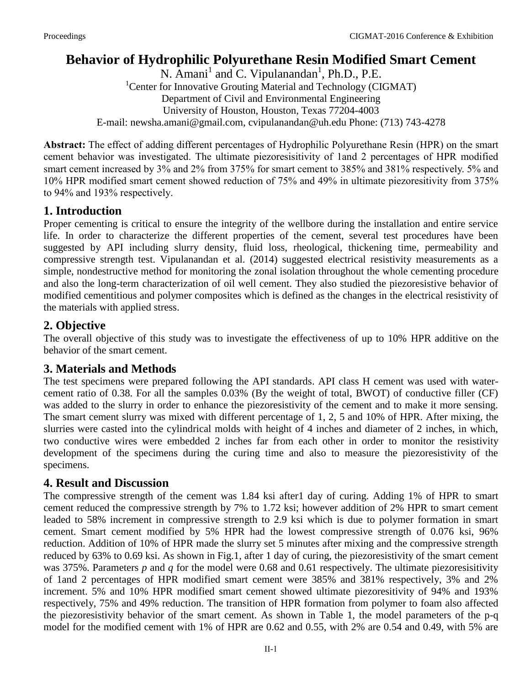# **Behavior of Hydrophilic Polyurethane Resin Modified Smart Cement**

N. Amani<sup>1</sup> and C. Vipulanandan<sup>1</sup>, Ph.D., P.E. <sup>1</sup>Center for Innovative Grouting Material and Technology (CIGMAT) Department of Civil and Environmental Engineering University of Houston, Houston, Texas 77204-4003 E-mail: [newsha.amani@gmail.com,](mailto:newsha.amani@gmail.com) cvipulanandan@uh.edu Phone: (713) 743-4278

**Abstract:** The effect of adding different percentages of Hydrophilic Polyurethane Resin (HPR) on the smart cement behavior was investigated. The ultimate piezoresisitivity of 1and 2 percentages of HPR modified smart cement increased by 3% and 2% from 375% for smart cement to 385% and 381% respectively. 5% and 10% HPR modified smart cement showed reduction of 75% and 49% in ultimate piezoresitivity from 375% to 94% and 193% respectively.

### **1. Introduction**

Proper cementing is critical to ensure the integrity of the wellbore during the installation and entire service life. In order to characterize the different properties of the cement, several test procedures have been suggested by API including slurry density, fluid loss, rheological, thickening time, permeability and compressive strength test. Vipulanandan et al. (2014) suggested electrical resistivity measurements as a simple, nondestructive method for monitoring the zonal isolation throughout the whole cementing procedure and also the long-term characterization of oil well cement. They also studied the piezoresistive behavior of modified cementitious and polymer composites which is defined as the changes in the electrical resistivity of the materials with applied stress.

## **2. Objective**

The overall objective of this study was to investigate the effectiveness of up to 10% HPR additive on the behavior of the smart cement.

### **3. Materials and Methods**

The test specimens were prepared following the API standards. API class H cement was used with watercement ratio of 0.38. For all the samples 0.03% (By the weight of total, BWOT) of conductive filler (CF) was added to the slurry in order to enhance the piezoresistivity of the cement and to make it more sensing. The smart cement slurry was mixed with different percentage of 1, 2, 5 and 10% of HPR. After mixing, the slurries were casted into the cylindrical molds with height of 4 inches and diameter of 2 inches, in which, two conductive wires were embedded 2 inches far from each other in order to monitor the resistivity development of the specimens during the curing time and also to measure the piezoresistivity of the specimens.

## **4. Result and Discussion**

The compressive strength of the cement was 1.84 ksi after1 day of curing. Adding 1% of HPR to smart cement reduced the compressive strength by 7% to 1.72 ksi; however addition of 2% HPR to smart cement leaded to 58% increment in compressive strength to 2.9 ksi which is due to polymer formation in smart cement. Smart cement modified by 5% HPR had the lowest compressive strength of 0.076 ksi, 96% reduction. Addition of 10% of HPR made the slurry set 5 minutes after mixing and the compressive strength reduced by 63% to 0.69 ksi. As shown in Fig.1, after 1 day of curing, the piezoresistivity of the smart cement was 375%. Parameters *p* and *q* for the model were 0.68 and 0.61 respectively. The ultimate piezoresisitivity of 1and 2 percentages of HPR modified smart cement were 385% and 381% respectively, 3% and 2% increment. 5% and 10% HPR modified smart cement showed ultimate piezoresitivity of 94% and 193% respectively, 75% and 49% reduction. The transition of HPR formation from polymer to foam also affected the piezoresistivity behavior of the smart cement. As shown in Table 1, the model parameters of the p-q model for the modified cement with 1% of HPR are 0.62 and 0.55, with 2% are 0.54 and 0.49, with 5% are